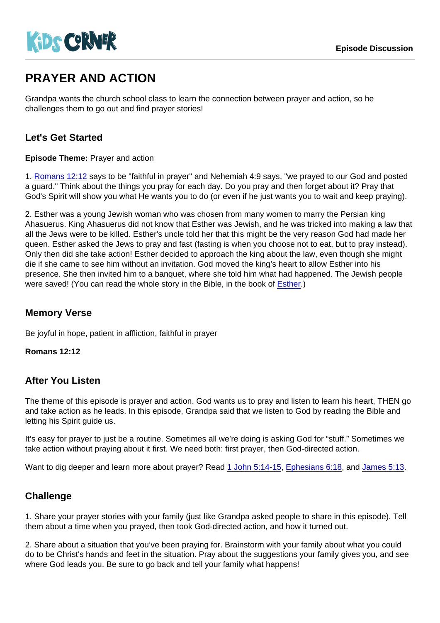# PRAYER AND ACTION

Grandpa wants the church school class to learn the connection between prayer and action, so he challenges them to go out and find prayer stories!

## Let's Get Started

Episode Theme: Prayer and action

1. [Romans 12:12](https://www.biblegateway.com/passage/?search=Romans+12:12) says to be "faithful in prayer" and Nehemiah 4:9 says, "we prayed to our God and posted a guard." Think about the things you pray for each day. Do you pray and then forget about it? Pray that God's Spirit will show you what He wants you to do (or even if he just wants you to wait and keep praying).

2. Esther was a young Jewish woman who was chosen from many women to marry the Persian king Ahasuerus. King Ahasuerus did not know that Esther was Jewish, and he was tricked into making a law that all the Jews were to be killed. Esther's uncle told her that this might be the very reason God had made her queen. Esther asked the Jews to pray and fast (fasting is when you choose not to eat, but to pray instead). Only then did she take action! Esther decided to approach the king about the law, even though she might die if she came to see him without an invitation. God moved the king's heart to allow Esther into his presence. She then invited him to a banquet, where she told him what had happened. The Jewish people were saved! (You can read the whole story in the Bible, in the book of [Esther.](https://www.biblegateway.com/passage/?search=Esther+1))

### Memory Verse

Be joyful in hope, patient in affliction, faithful in prayer

Romans 12:12

#### After You Listen

The theme of this episode is prayer and action. God wants us to pray and listen to learn his heart, THEN go and take action as he leads. In this episode, Grandpa said that we listen to God by reading the Bible and letting his Spirit guide us.

It's easy for prayer to just be a routine. Sometimes all we're doing is asking God for "stuff." Sometimes we take action without praying about it first. We need both: first prayer, then God-directed action.

Want to dig deeper and learn more about prayer? Read [1 John 5:14-15,](https://www.biblegateway.com/passage/?search=1+John+5:14-15) [Ephesians 6:18,](https://www.biblegateway.com/passage/?search=Ephesians+6:18) and [James 5:13](https://www.biblegateway.com/passage/?search=James+5:13).

## **Challenge**

1. Share your prayer stories with your family (just like Grandpa asked people to share in this episode). Tell them about a time when you prayed, then took God-directed action, and how it turned out.

2. Share about a situation that you've been praying for. Brainstorm with your family about what you could do to be Christ's hands and feet in the situation. Pray about the suggestions your family gives you, and see where God leads you. Be sure to go back and tell your family what happens!